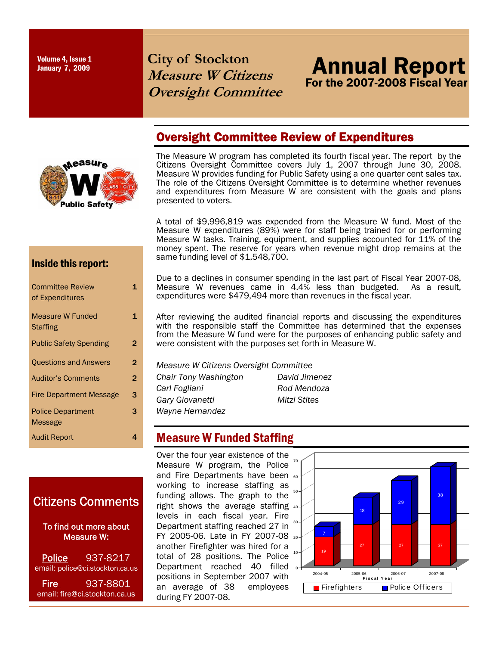Volume 4, Issue 1<br>January 7, 2009

# **City of Stockton Measure W Citizens Oversight Committee**

# Oversight Committee Review of Expenditures



The Measure W program has completed its fourth fiscal year. The report by the Citizens Oversight Committee covers July 1, 2007 through June 30, 2008. Measure W provides funding for Public Safety using a one quarter cent sales tax. The role of the Citizens Oversight Committee is to determine whether revenues and expenditures from Measure W are consistent with the goals and plans presented to voters.

A total of \$9,996,819 was expended from the Measure W fund. Most of the Measure W expenditures (89%) were for staff being trained for or performing Measure W tasks. Training, equipment, and supplies accounted for 11% of the money spent. The reserve for years when revenue might drop remains at the same funding level of \$1,548,700.

#### Inside this report:

| <b>Committee Review</b><br>of Expenditures |   |
|--------------------------------------------|---|
| <b>Measure W Funded</b><br><b>Staffing</b> | 1 |
| <b>Public Safety Spending</b>              | 2 |
| <b>Questions and Answers</b>               | 2 |
| <b>Auditor's Comments</b>                  | 2 |
| <b>Fire Department Message</b>             | 3 |
| <b>Police Department</b><br>Message        | 3 |
| <b>Audit Report</b>                        |   |
|                                            |   |

### Citizens Comments

 To find out more about Measure W:

Police 937-8217 email: police@ci.stockton.ca.us

Fire 937-8801 email: fire@ci.stockton.ca.us Due to a declines in consumer spending in the last part of Fiscal Year 2007-08, Measure W revenues came in 4.4% less than budgeted. As a result, expenditures were \$479,494 more than revenues in the fiscal year.

After reviewing the audited financial reports and discussing the expenditures with the responsible staff the Committee has determined that the expenses from the Measure W fund were for the purposes of enhancing public safety and were consistent with the purposes set forth in Measure W.

*Measure W Citizens Oversight Committee* 

*Chair Tony Washington David Jimenez Carl Fogliani Rod Mendoza Mitzi Stites* 

### **Measure W Funded Staffing**

Over the four year existence of the Measure W program, the Police and Fire Departments have been 60 working to increase staffing as funding allows. The graph to the  $50$ right shows the average staffing 40 levels in each fiscal year. Fire Department staffing reached 27 in  $30$ FY 2005-06. Late in FY 2007-08 20 another Firefighter was hired for a total of 28 positions. The Police Department reached 40 filled positions in September 2007 with an average of 38 employees during FY 2007-08.



Annual Report Annual Report

For the 2007-2008 Fiscal Year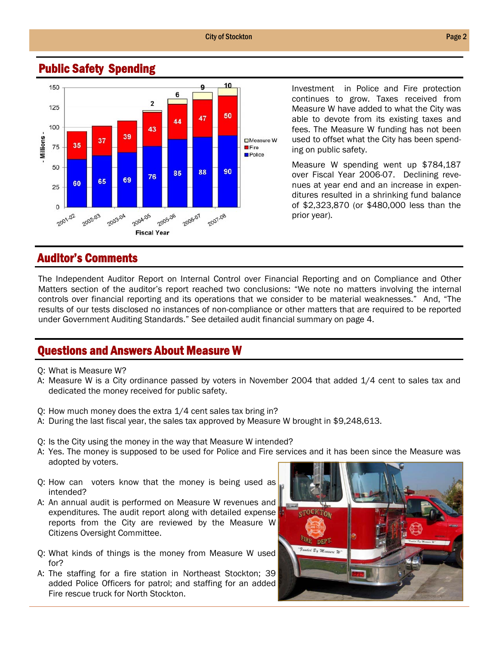#### City of Stockton **Page 2**



#### Public Safety Spending

Investment in Police and Fire protection continues to grow. Taxes received from Measure W have added to what the City was able to devote from its existing taxes and fees. The Measure W funding has not been used to offset what the City has been spending on public safety.

Measure W spending went up \$784,187 over Fiscal Year 2006-07. Declining revenues at year end and an increase in expenditures resulted in a shrinking fund balance of \$2,323,870 (or \$480,000 less than the prior year).

#### Auditor's Comments

The Independent Auditor Report on Internal Control over Financial Reporting and on Compliance and Other Matters section of the auditor's report reached two conclusions: "We note no matters involving the internal controls over financial reporting and its operations that we consider to be material weaknesses." And, "The results of our tests disclosed no instances of non-compliance or other matters that are required to be reported under Government Auditing Standards." See detailed audit financial summary on page 4.

#### Questions and Answers About Measure W

- Q: What is Measure W?
- A: Measure W is a City ordinance passed by voters in November 2004 that added 1/4 cent to sales tax and dedicated the money received for public safety.
- Q: How much money does the extra 1/4 cent sales tax bring in?
- A: During the last fiscal year, the sales tax approved by Measure W brought in \$9,248,613.
- Q: Is the City using the money in the way that Measure W intended?
- A: Yes. The money is supposed to be used for Police and Fire services and it has been since the Measure was adopted by voters.
- Q: How can voters know that the money is being used as intended?
- A: An annual audit is performed on Measure W revenues and expenditures. The audit report along with detailed expense reports from the City are reviewed by the Measure W Citizens Oversight Committee.
- Q: What kinds of things is the money from Measure W used for?
- A: The staffing for a fire station in Northeast Stockton; 39 added Police Officers for patrol; and staffing for an added Fire rescue truck for North Stockton.

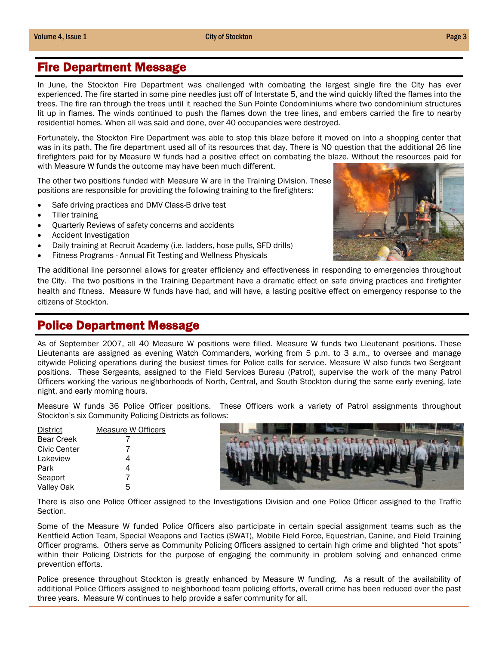#### Fire Department Message

In June, the Stockton Fire Department was challenged with combating the largest single fire the City has ever experienced. The fire started in some pine needles just off of Interstate 5, and the wind quickly lifted the flames into the trees. The fire ran through the trees until it reached the Sun Pointe Condominiums where two condominium structures lit up in flames. The winds continued to push the flames down the tree lines, and embers carried the fire to nearby residential homes. When all was said and done, over 40 occupancies were destroyed.

Fortunately, the Stockton Fire Department was able to stop this blaze before it moved on into a shopping center that was in its path. The fire department used all of its resources that day. There is NO question that the additional 26 line firefighters paid for by Measure W funds had a positive effect on combating the blaze. Without the resources paid for with Measure W funds the outcome may have been much different.

The other two positions funded with Measure W are in the Training Division. These positions are responsible for providing the following training to the firefighters:

- Safe driving practices and DMV Class-B drive test
- Tiller training
- Quarterly Reviews of safety concerns and accidents
- Accident Investigation
- Daily training at Recruit Academy (i.e. ladders, hose pulls, SFD drills)
- Fitness Programs Annual Fit Testing and Wellness Physicals



The additional line personnel allows for greater efficiency and effectiveness in responding to emergencies throughout the City. The two positions in the Training Department have a dramatic effect on safe driving practices and firefighter health and fitness. Measure W funds have had, and will have, a lasting positive effect on emergency response to the citizens of Stockton.

#### Police Department Message

As of September 2007, all 40 Measure W positions were filled. Measure W funds two Lieutenant positions. These Lieutenants are assigned as evening Watch Commanders, working from 5 p.m. to 3 a.m., to oversee and manage citywide Policing operations during the busiest times for Police calls for service. Measure W also funds two Sergeant positions. These Sergeants, assigned to the Field Services Bureau (Patrol), supervise the work of the many Patrol Officers working the various neighborhoods of North, Central, and South Stockton during the same early evening, late night, and early morning hours.

Measure W funds 36 Police Officer positions. These Officers work a variety of Patrol assignments throughout Stockton's six Community Policing Districts as follows:

| <b>District</b>   | Measure W Officers |
|-------------------|--------------------|
| <b>Bear Creek</b> |                    |
| Civic Center      |                    |
| Lakeview          | 4                  |
| Park              | 4                  |
| Seaport           | 7                  |
| Valley Oak        | 5                  |



There is also one Police Officer assigned to the Investigations Division and one Police Officer assigned to the Traffic Section.

Some of the Measure W funded Police Officers also participate in certain special assignment teams such as the Kentfield Action Team, Special Weapons and Tactics (SWAT), Mobile Field Force, Equestrian, Canine, and Field Training Officer programs. Others serve as Community Policing Officers assigned to certain high crime and blighted "hot spots" within their Policing Districts for the purpose of engaging the community in problem solving and enhanced crime prevention efforts.

Police presence throughout Stockton is greatly enhanced by Measure W funding. As a result of the availability of additional Police Officers assigned to neighborhood team policing efforts, overall crime has been reduced over the past three years. Measure W continues to help provide a safer community for all.